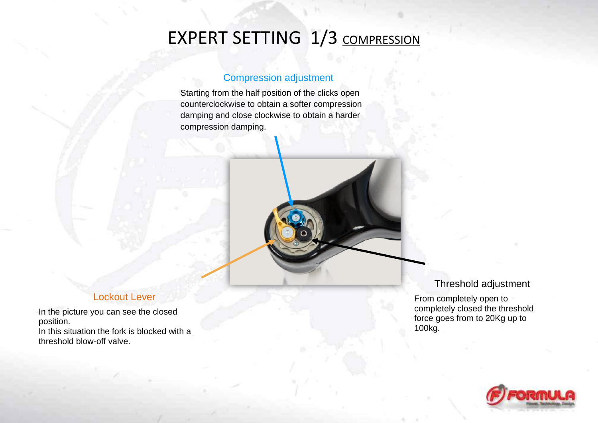# EXPERT SETTING 1/3 COMPRESSION

### Compression adjustment

Starting from the half position of the clicks open counterclockwise to obtain a softer compression damping and close clockwise to obtain a harder compression damping.



### Lockout Lever

In the picture you can see the closed position.

In this situation the fork is blocked with a threshold blow-off valve.

#### Threshold adjustment

From completely open to completely closed the threshold force goes from to 20Kg up to 100kg.

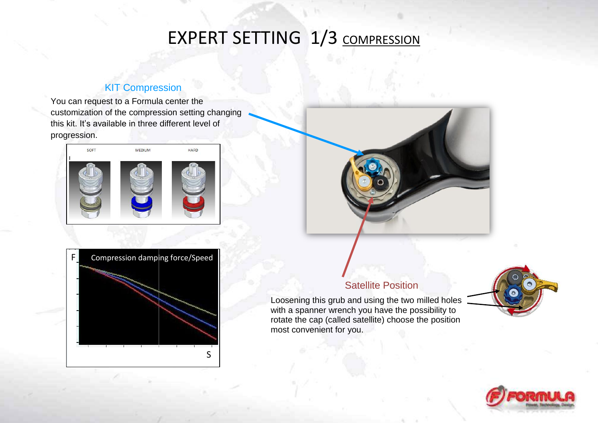## EXPERT SETTING 1/3 COMPRESSION

### **KIT Compression**

You can request to a Formula center the customization of the compression setting changing this kit. It's available in three different level of progression.







### **Satellite Position**

Loosening this grub and using the two milled holes with a spanner wrench you have the possibility to rotate the cap (called satellite) choose the position most convenient for you.



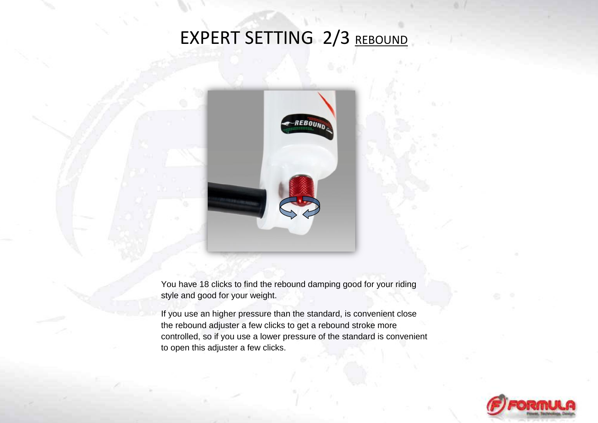# EXPERT SETTING 2/3 REBOUND



You have 18 clicks to find the rebound damping good for your riding style and good for your weight.

If you use an higher pressure than the standard, is convenient close the rebound adjuster a few clicks to get a rebound stroke more controlled, so if you use a lower pressure of the standard is convenient to open this adjuster a few clicks.

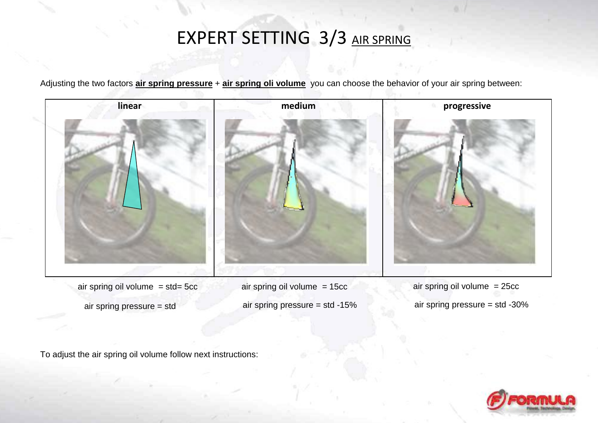## EXPERT SETTING 3/3 AIR SPRING

Adjusting the two factors **air spring pressure** + **air spring oli volume** you can choose the behavior of your air spring between:

**linear nedium progressive** 

- air spring oil volume  $= 25cc$ air spring pressure = std -30%
- air spring oil volume = 15cc air spring pressure = std -15%
- air spring oil volume  $=$  std= 5cc
	- air spring pressure = std

To adjust the air spring oil volume follow next instructions:

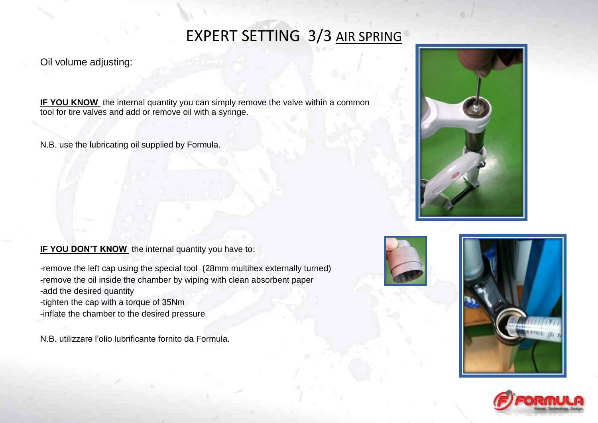### EXPERT SETTING 3/3 AIR SPRING

### Oil volume adjusting:

**IF YOU KNOW** the internal quantity you can simply remove the valve within a common tool for tire valves and add or remove oil with a syringe.

N.B. use the lubricating oil supplied by Formula.

#### **IF YOU DON'T KNOW** the internal quantity you have to:

-remove the left cap using the special tool (28mm multihex externally turned) -remove the oil inside the chamber by wiping with clean absorbent paper -add the desired quantity

-tighten the cap with a torque of 35Nm

-inflate the chamber to the desired pressure

N.B. utilizzare l'olio lubrificante fornito da Formula.